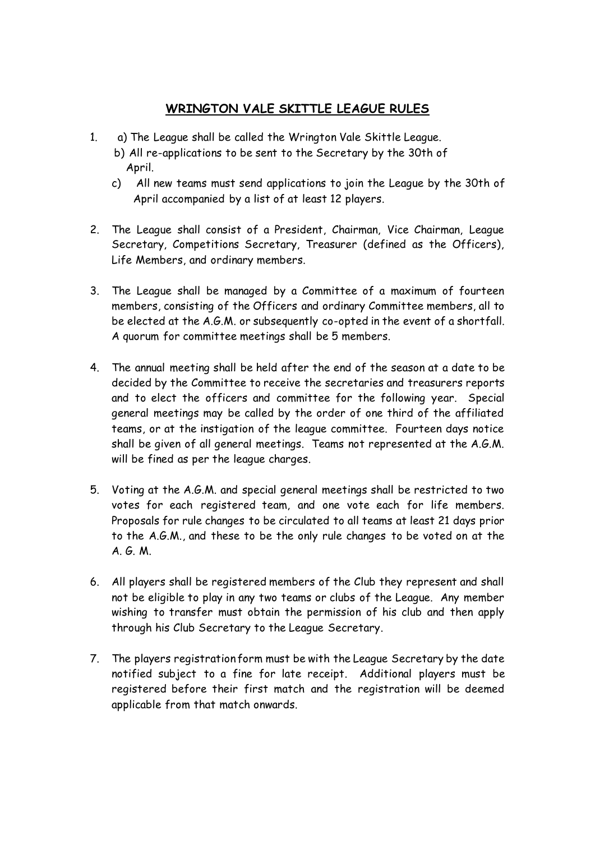## **WRINGTON VALE SKITTLE LEAGUE RULES**

- 1. a) The League shall be called the Wrington Vale Skittle League.
	- b) All re-applications to be sent to the Secretary by the 30th of April.
	- c) All new teams must send applications to join the League by the 30th of April accompanied by a list of at least 12 players.
- 2. The League shall consist of a President, Chairman, Vice Chairman, League Secretary, Competitions Secretary, Treasurer (defined as the Officers), Life Members, and ordinary members.
- 3. The League shall be managed by a Committee of a maximum of fourteen members, consisting of the Officers and ordinary Committee members, all to be elected at the A.G.M. or subsequently co-opted in the event of a shortfall. A quorum for committee meetings shall be 5 members.
- 4. The annual meeting shall be held after the end of the season at a date to be decided by the Committee to receive the secretaries and treasurers reports and to elect the officers and committee for the following year. Special general meetings may be called by the order of one third of the affiliated teams, or at the instigation of the league committee. Fourteen days notice shall be given of all general meetings. Teams not represented at the A.G.M. will be fined as per the league charges.
- 5. Voting at the A.G.M. and special general meetings shall be restricted to two votes for each registered team, and one vote each for life members. Proposals for rule changes to be circulated to all teams at least 21 days prior to the A.G.M., and these to be the only rule changes to be voted on at the A. G. M.
- 6. All players shall be registered members of the Club they represent and shall not be eligible to play in any two teams or clubs of the League. Any member wishing to transfer must obtain the permission of his club and then apply through his Club Secretary to the League Secretary.
- 7. The players registration form must be with the League Secretary by the date notified subject to a fine for late receipt. Additional players must be registered before their first match and the registration will be deemed applicable from that match onwards.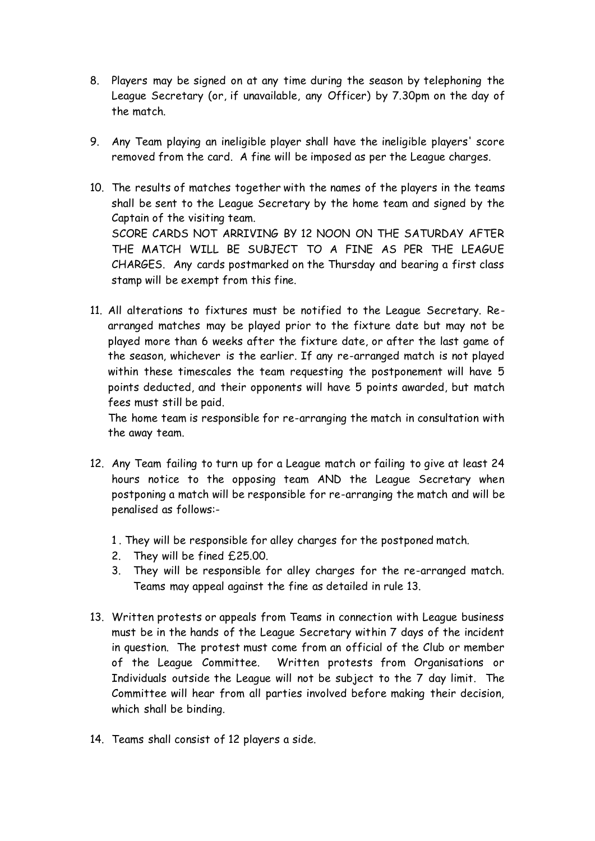- 8. Players may be signed on at any time during the season by telephoning the League Secretary (or, if unavailable, any Officer) by 7.30pm on the day of the match.
- 9. Any Team playing an ineligible player shall have the ineligible players' score removed from the card. A fine will be imposed as per the League charges.
- 10. The results of matches together with the names of the players in the teams shall be sent to the League Secretary by the home team and signed by the Captain of the visiting team. SCORE CARDS NOT ARRIVING BY 12 NOON ON THE SATURDAY AFTER THE MATCH WILL BE SUBJECT TO A FINE AS PER THE LEAGUE CHARGES. Any cards postmarked on the Thursday and bearing a first class stamp will be exempt from this fine.
- 11. All alterations to fixtures must be notified to the League Secretary. Rearranged matches may be played prior to the fixture date but may not be played more than 6 weeks after the fixture date, or after the last game of the season, whichever is the earlier. If any re-arranged match is not played within these timescales the team requesting the postponement will have 5 points deducted, and their opponents will have 5 points awarded, but match fees must still be paid.

The home team is responsible for re-arranging the match in consultation with the away team.

- 12. Any Team failing to turn up for a League match or failing to give at least 24 hours notice to the opposing team AND the League Secretary when postponing a match will be responsible for re-arranging the match and will be penalised as follows:-
	- 1 . They will be responsible for alley charges for the postponed match.
	- 2. They will be fined £25.00.
	- 3. They will be responsible for alley charges for the re-arranged match. Teams may appeal against the fine as detailed in rule 13.
- 13. Written protests or appeals from Teams in connection with League business must be in the hands of the League Secretary within 7 days of the incident in question. The protest must come from an official of the Club or member of the League Committee. Written protests from Organisations or Individuals outside the League will not be subject to the 7 day limit. The Committee will hear from all parties involved before making their decision, which shall be binding.
- 14. Teams shall consist of 12 players a side.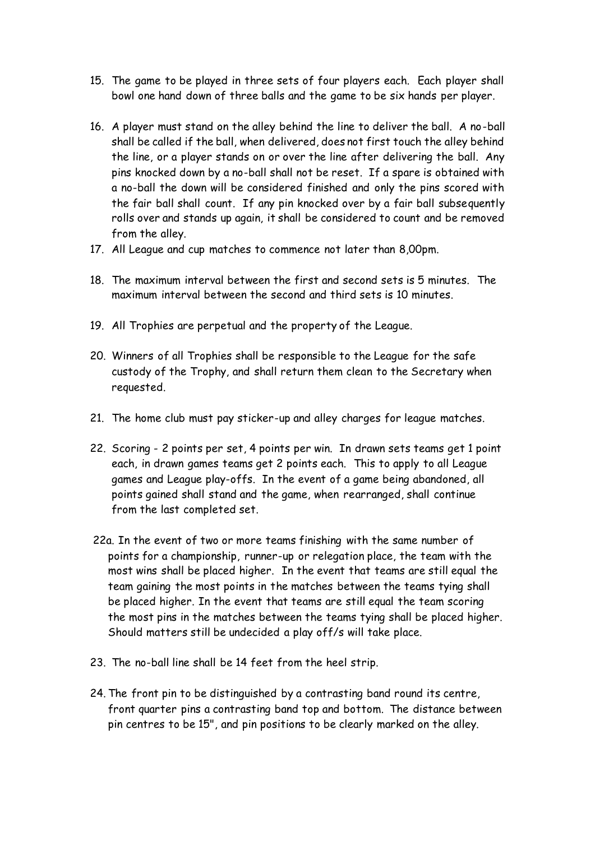- 15. The game to be played in three sets of four players each. Each player shall bowl one hand down of three balls and the game to be six hands per player.
- 16. A player must stand on the alley behind the line to deliver the ball. A no-ball shall be called if the ball, when delivered, does not first touch the alley behind the line, or a player stands on or over the line after delivering the ball. Any pins knocked down by a no-ball shall not be reset. If a spare is obtained with a no-ball the down will be considered finished and only the pins scored with the fair ball shall count. If any pin knocked over by a fair ball subsequently rolls over and stands up again, it shall be considered to count and be removed from the alley.
- 17. All League and cup matches to commence not later than 8,00pm.
- 18. The maximum interval between the first and second sets is 5 minutes. The maximum interval between the second and third sets is 10 minutes.
- 19. All Trophies are perpetual and the property of the League.
- 20. Winners of all Trophies shall be responsible to the League for the safe custody of the Trophy, and shall return them clean to the Secretary when requested.
- 21. The home club must pay sticker-up and alley charges for league matches.
- 22. Scoring 2 points per set, 4 points per win. In drawn sets teams get 1 point each, in drawn games teams get 2 points each. This to apply to all League games and League play-offs. In the event of a game being abandoned, all points gained shall stand and the game, when rearranged, shall continue from the last completed set.
- 22a. In the event of two or more teams finishing with the same number of points for a championship, runner-up or relegation place, the team with the most wins shall be placed higher. In the event that teams are still equal the team gaining the most points in the matches between the teams tying shall be placed higher. In the event that teams are still equal the team scoring the most pins in the matches between the teams tying shall be placed higher. Should matters still be undecided a play off/s will take place.
- 23. The no-ball line shall be 14 feet from the heel strip.
- 24. The front pin to be distinguished by a contrasting band round its centre, front quarter pins a contrasting band top and bottom. The distance between pin centres to be 15", and pin positions to be clearly marked on the alley.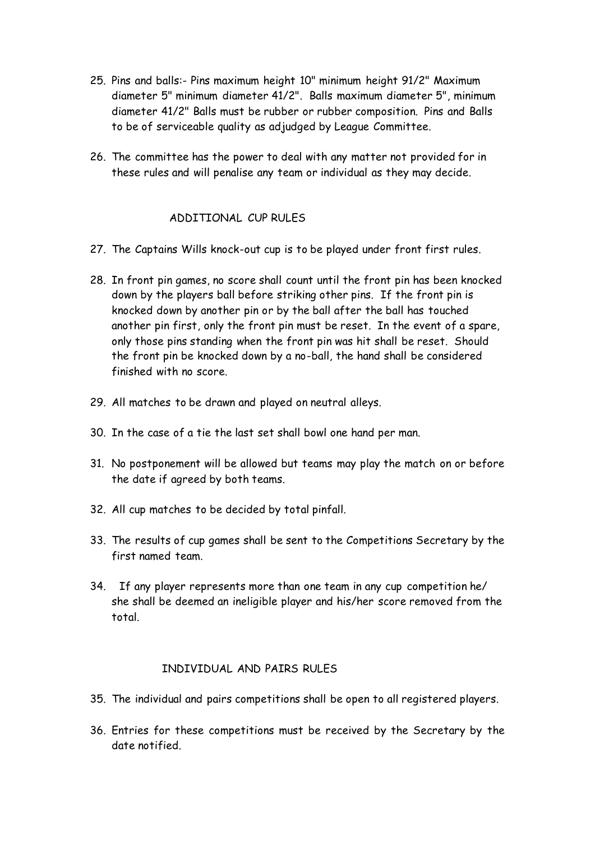- 25. Pins and balls:- Pins maximum height 10" minimum height 91/2" Maximum diameter 5" minimum diameter 41/2". Balls maximum diameter 5", minimum diameter 41/2" Balls must be rubber or rubber composition. Pins and Balls to be of serviceable quality as adjudged by League Committee.
- 26. The committee has the power to deal with any matter not provided for in these rules and will penalise any team or individual as they may decide.

## ADDITIONAL CUP RULES

- 27. The Captains Wills knock-out cup is to be played under front first rules.
- 28. In front pin games, no score shall count until the front pin has been knocked down by the players ball before striking other pins. If the front pin is knocked down by another pin or by the ball after the ball has touched another pin first, only the front pin must be reset. In the event of a spare, only those pins standing when the front pin was hit shall be reset. Should the front pin be knocked down by a no-ball, the hand shall be considered finished with no score.
- 29. All matches to be drawn and played on neutral alleys.
- 30. In the case of a tie the last set shall bowl one hand per man.
- 31. No postponement will be allowed but teams may play the match on or before the date if agreed by both teams.
- 32. All cup matches to be decided by total pinfall.
- 33. The results of cup games shall be sent to the Competitions Secretary by the first named team.
- 34. If any player represents more than one team in any cup competition he/ she shall be deemed an ineligible player and his/her score removed from the total.

## INDIVIDUAL AND PAIRS RULES

- 35. The individual and pairs competitions shall be open to all registered players.
- 36. Entries for these competitions must be received by the Secretary by the date notified.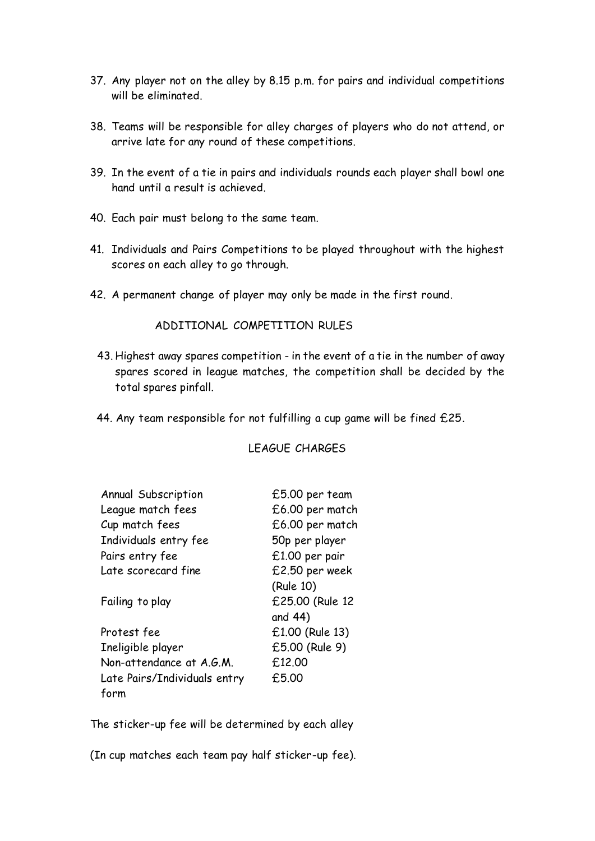- 37. Any player not on the alley by 8.15 p.m. for pairs and individual competitions will be eliminated.
- 38. Teams will be responsible for alley charges of players who do not attend, or arrive late for any round of these competitions.
- 39. In the event of a tie in pairs and individuals rounds each player shall bowl one hand until a result is achieved.
- 40. Each pair must belong to the same team.
- 41. Individuals and Pairs Competitions to be played throughout with the highest scores on each alley to go through.
- 42. A permanent change of player may only be made in the first round.

## ADDITIONAL COMPETITION RULES

- 43. Highest away spares competition in the event of a tie in the number of away spares scored in league matches, the competition shall be decided by the total spares pinfall.
- 44. Any team responsible for not fulfilling a cup game will be fined £25.

| Annual Subscription          | £5.00 per team  |
|------------------------------|-----------------|
| League match fees            | £6.00 per match |
| Cup match fees               | £6.00 per match |
| Individuals entry fee        | 50p per player  |
| Pairs entry fee              | £1.00 per pair  |
| Late scorecard fine          | £2.50 per week  |
|                              | (Rule 10)       |
| Failing to play              | £25.00 (Rule 12 |
|                              | and 44)         |
| Protest fee                  | £1.00 (Rule 13) |
| Ineligible player            | £5.00 (Rule 9)  |
| Non-attendance at A.G.M.     | £12.00          |
| Late Pairs/Individuals entry | £5.00           |
| form                         |                 |

LEAGUE CHARGES

The sticker-up fee will be determined by each alley

(In cup matches each team pay half sticker-up fee).